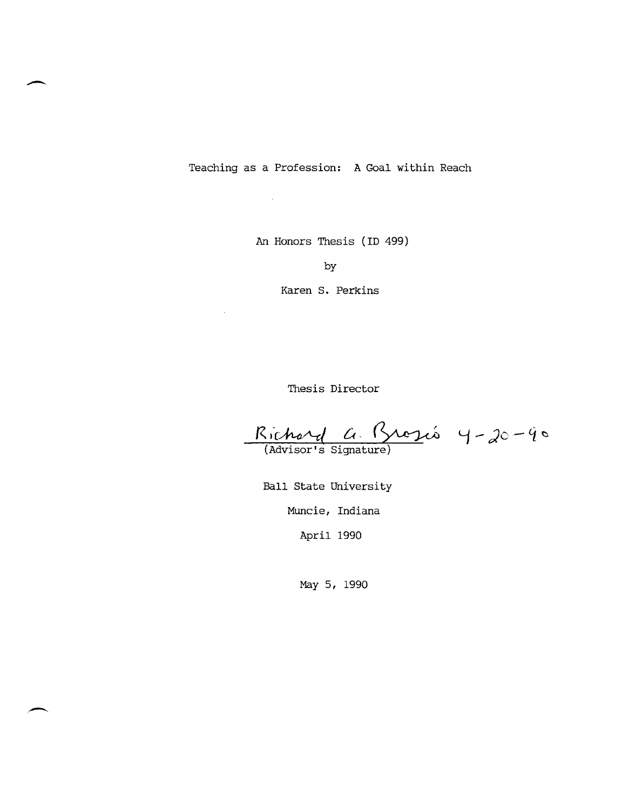Teaching as a Profession: A Goal within Reach

An Honors Thesis (ID 499)

by

Karen S. Perkins

Thesis Director

 $R$ ichard G. Brozeó  $4-20-9$ </u>

Ball State University

Muncie, Indiana

April 1990

May 5, 1990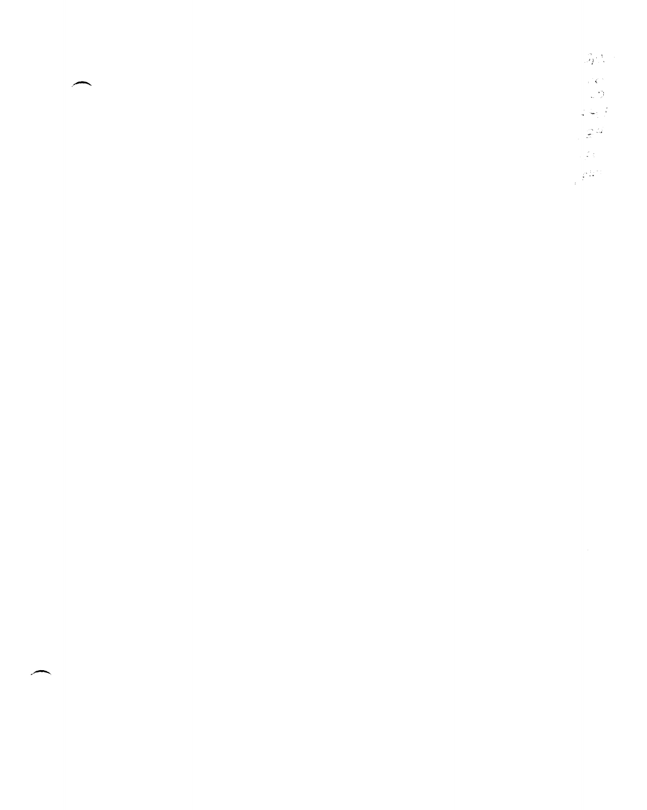| $ \mathcal{\hat{A}}(\lambda) ^2$ |
|----------------------------------|
| $\mathcal{A}^{\infty}$           |
| $\sim$ $2$                       |
|                                  |
| $\mathbb{R}^d$                   |
| $\sim 1.3$                       |
| ing parti<br>Sa                  |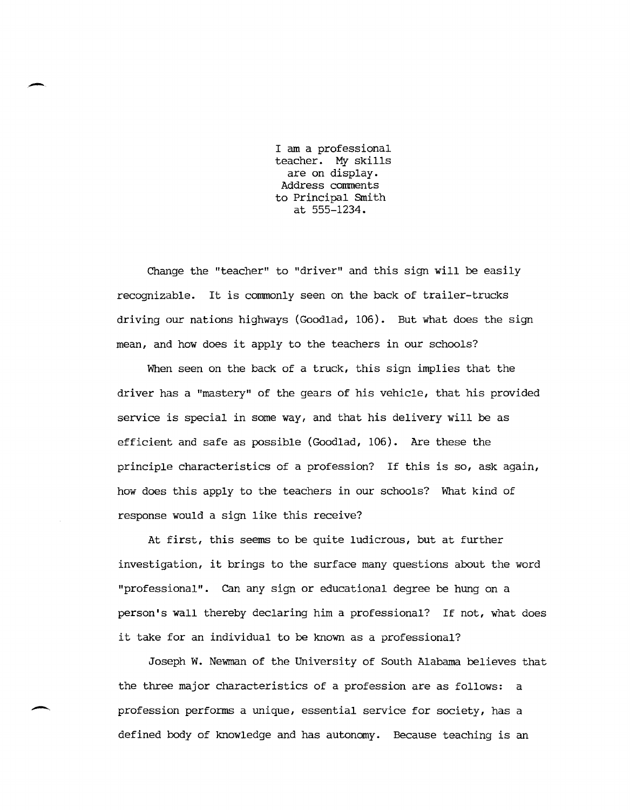I am a professional teacher. My skills are on display. Address comments to Principal Smith at 555-1234.

-

-

Change the "teacher" to "driver" and this sign will be easily recognizable. It is commonly seen on the back of trailer-trucks driving our nations highways (Goodlad, 106). But what does the sign mean, and how does it apply to the teachers in our schools?

When seen on the back of a truck, this sign implies that the driver has a "mastery" of the gears of his vehicle, that his provided service is special in some way, and that his delivery will be as efficient and safe as possible (Goodlad, 106). Are these the principle characteristics of a profession? If this is so, ask again, how does this apply to the teachers in our schools? What kind of response would a sign like this receive?

At first, this seems to be quite ludicrous, but at further investigation, it brings to the surface many questions about the word "professional". Can any sign or educational degree be hung on a person's wall thereby declaring him a professional? If not, what does it take for an individual to be known as a professional?

Joseph W. Newman of the University of South Alabama believes that the three major characteristics of a profession are as follows: a profession performs a unique, essential service for society, has a defined body of knowledge and has autonomy. Because teaching is an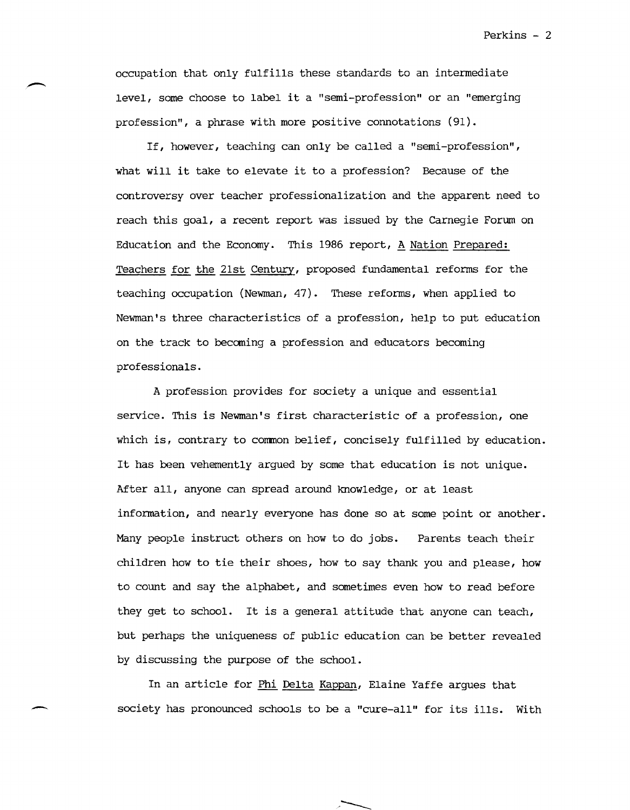occupation that only fulfills these standards to an intermediate level, some choose to label it a "semi-profession" or an "emerging profession", a phrase with more positive connotations (91).

If, however, teaching can only be called a "semi-profession", what will it take to elevate it to a profession? Because of the controversy over teacher professionalization and the apparent need to reach this goal, a recent report was issued by the Carnegie Forum on Education and the Economy. This 1986 report, A Nation Prepared: Teachers for the 21st Century, proposed fundamental reforms for the teaching occupation (Newman, 47). These reforms, when applied to Newman's three characteristics of a profession, help to put education on the track to becoming a profession and educators becoming professionals.

A profession provides for society a unique and essential service. This is Newman's first characteristic of a profession, one which is, contrary to common belief, concisely fulfilled by education. It has been vehemently argued by some that education is not unique. After all, anyone can spread around knowledge, or at least information, and nearly everyone has done so at some point or another. Many people instruct others on how to do jobs. Parents teach their children how to tie their shoes, how to say thank you and please, how to count and say the alphabet, and sometimes even how to read before they get to school. It is a general attitude that anyone can teach, but perhaps the uniqueness of public education can be better revealed by discussing the purpose of the school.

In an article for Phi Delta Kappan, Elaine Yaffe argues that society has pronounced schools to be a "cure-all" for its ills. With

-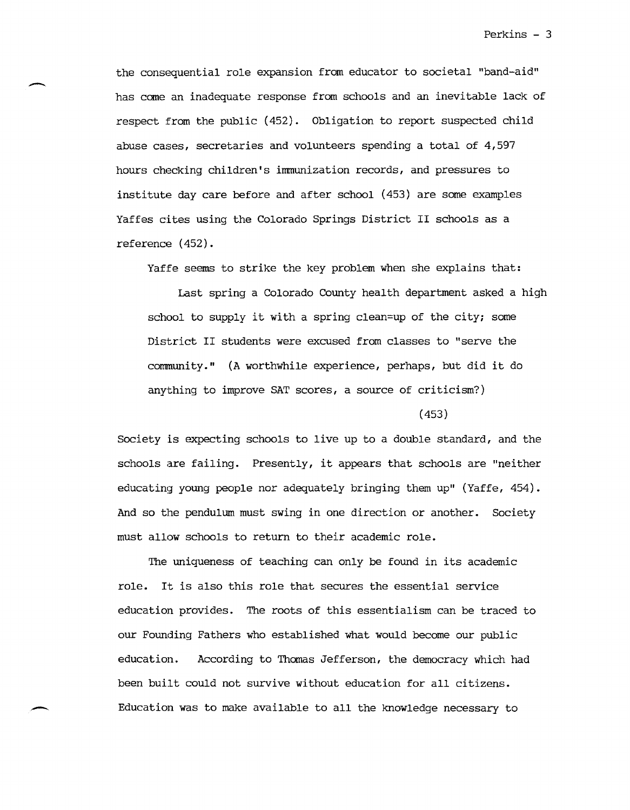the consequential role expansion from educator to societal "band-aid" has come an inadequate response from schools and an inevitable lack of respect from the public (452). Obligation to report suspected child abuse cases, secretaries and volunteers spending a total of 4,597 hours checking children's immunization records, and pressures to institute day care before and after school (453) are some examples Yaffes cites using the Colorado Springs District II schools as a reference (452).

-

Yaffe seems to strike the key problem when she explains that:

Last spring a Colorado County health department asked a high school to supply it with a spring clean=up of the city; some District II students were excused from classes to "serve the community." (A worthwhile experience, perhaps, but did it do anything to improve SAT scores, a source of criticism?)

(453)

Society is expecting schools to live up to a double standard, and the schools are failing. Presently, it appears that schools are "neither educating young people nor adequately bringing them up" (Yaffe,  $454$ ). And so the pendulum must swing in one direction or another. Society must allow schools to return to their academic role.

The uniqueness of teaching can only be found in its academic role. It is also this role that secures the essential service education provides. The roots of this essentialism can be traced to our Founding Fathers who established what would become our public education. According to Thomas Jefferson, the democracy which had been built could not survive without education for all citizens. Education was to make available to all the knowledge necessary to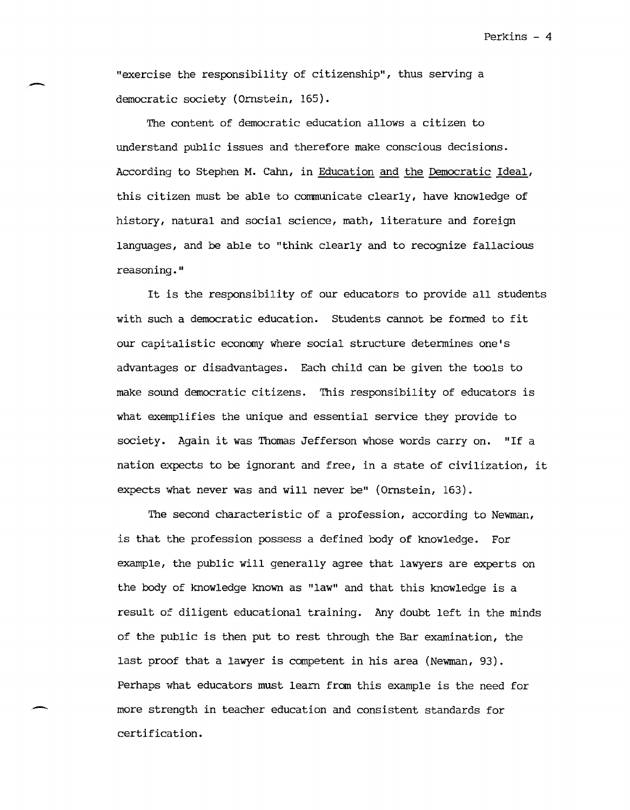"exercise the responsibility of citizenship", thus serving a democratic society (Ornstein, 165).

The content of democratic education allows a citizen to understand public issues and therefore make conscious decisions. According to Stephen M. Cahn, in Education and the Democratic Ideal, this citizen must be able to communicate clearly, have knowledge of history, natural and social science, math, literature and foreign languages, and be able to "think clearly and to recognize fallacious reasoning."

It is the responsibility of our educators to provide all students with such a democratic education. Students cannot be formed to fit our capitalistic economy where social structure determines one1s advantages or disadvantages. Each child can be given the tools to make sound democratic citizens. This responsibility of educators is what exemplifies the unique and essential service they provide to society. Again it was Thomas Jefferson whose words carry on. "If a nation expects to be ignorant and free, in a state of civilization, it expects what never was and will never be" (Ornstein, 163).

The second characteristic of a profession, according to Newman, is that the profession possess a defined body of knowledge. For example, the public will generally agree that lawyers are experts on the body of knowledge known as "law" and that this knowledge is a result of diligent educational training. Any doubt left in the minds of the public is then put to rest through the Bar examination, the last proof that a lawyer is competent in his area (Newman, 93). Perhaps what educators must learn from this example is the need for more strength in teacher education and consistent standards for certification.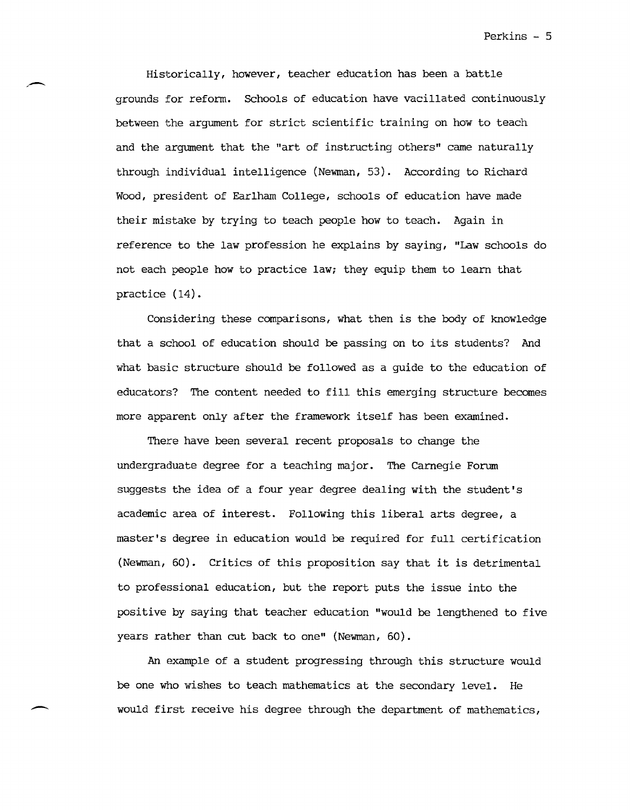Historically, however, teacher education has been a battle grounds for reform. Schools of education have vacillated continuously between the argument for strict scientific training on how to teach and the argument that the "art of instructing others" came naturally through individual intelligence (Newman, 53). According to Richard Wood, president of Earlham College, schools of education have made their mistake by trying to teach people how to teach. Again in reference to the law profession he explains by saying, "Law schools do not each people how to practice law; they equip them to learn that practice (14).

Considering these comparisons, what then is the body of knowledge that a school of education should be passing on to its students? And what basic structure should be followed as a guide to the education of educators? The content needed to fill this emerging structure becomes more apparent only after the framework itself has been examined.

There have been several recent proposals to change the undergraduate degree for a teaching major. The Carnegie Forum suggests the idea of a four year degree dealing with the student's academic area of interest. Following this liberal arts degree, a master's degree in education would be required for full certification (Newman, 60). Critics of this proposition say that it is detrimental to professional education, but the report puts the issue into the positive by saying that teacher education "would be lengthened to five years rather than cut back to one" (Newman, 60).

An example of a student progressing through this structure would be one who wishes to teach mathematics at the secondary level. He would first receive his degree through the department of mathematics,

 $\overline{\phantom{a}}$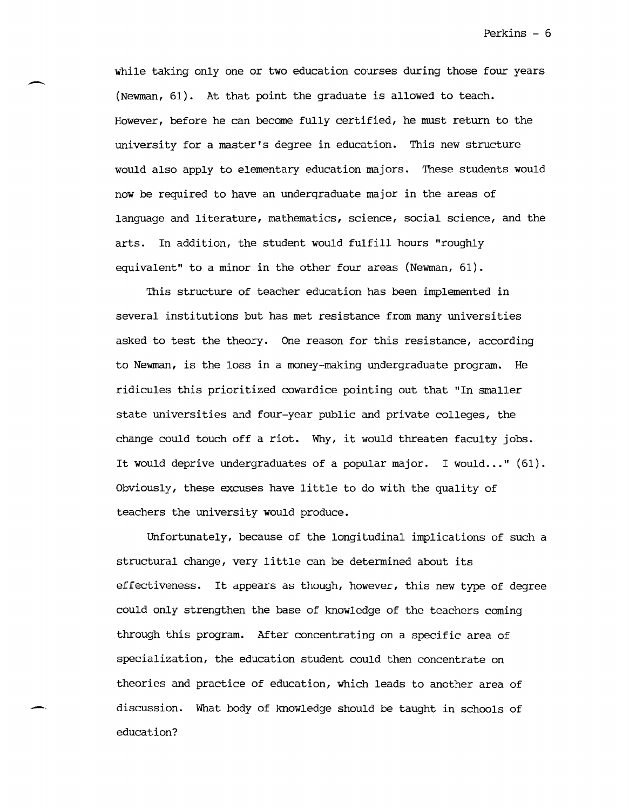while taking only one or two education courses during those four years (Newman, 61). At that point the graduate is allowed to teach. However, before he can become fully certified, he must return to the university for a master's degree in education. This new structure would also apply to elementary education majors. These students would now be required to have an undergraduate major in the areas of language and literature, mathematics, science, social science, and the arts. In addition, the student would fulfill hours "roughly equivalent" to a minor in the other four areas (Newman, 61).

 $\overline{\phantom{a}}$ 

-.

This structure of teacher education has been implemented in several institutions but has met resistance from many universities asked to test the theory. One reason for this resistance, according to Newman, is the loss in a money-making undergraduate program. He ridicules this prioritized cowardice pointing out that "In smaller state universities and four-year public and private colleges, the change could touch off a riot. Why, it would threaten faculty jobs. It would deprive undergraduates of a popular major. I would..."  $(61)$ . Obviously, these excuses have little to do with the quality of teachers the university would produce.

Unfortunately, because of the longitudinal implications of such a structural change, very little can be determined about its effectiveness. It appears as though, however, this new type of degree could only strengthen the base of knowledge of the teachers coming through this program. After concentrating on a specific area of specialization, the education student could then concentrate on theories and practice of education, which leads to another area of discussion. What body of knowledge should be taught in schools of education?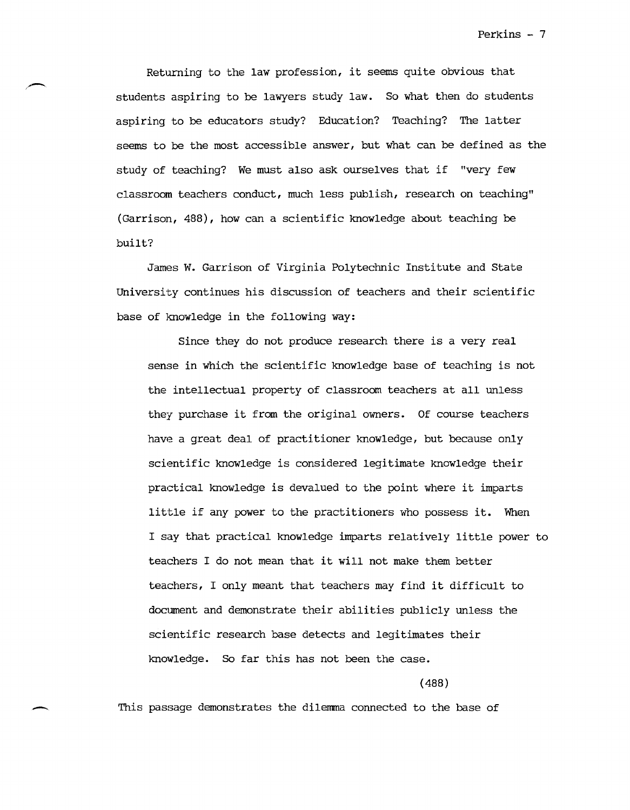Returning to the law profession, it seems quite obvious that students aspiring to be lawyers study law. So what then do students aspiring to be educators study? Education? Teaching? The latter seems to be the most accessible answer, but what can be defined as the study of teaching? We must also ask ourselves that if "very few classroom teachers conduct, much less publish, research on teaching" (Garrison, 488), how can a scientific knowledge about teaching be built?

James W. Garrison of Virginia Polytechnic Institute and State University continues his discussion of teachers and their scientific base of knowledge in the following way:

Since they do not produce research there is a very real sense in which the scientific knowledge base of teaching is not the intellectual property of classroom teachers at all unless they purchase it from the original owners. Of course teachers have a great deal of practitioner knowledge, but because only scientific knowledge is considered legitimate knowledge their practical knowledge is devalued to the point where it imparts little if any power to the practitioners who possess it. When I say that practical knowledge imparts relatively little power to teachers I do not mean that it will not make them better teachers, I only meant that teachers may find it difficult to document and demonstrate their abilities publicly unless the scientific research base detects and legitimates their knowledge. So far this has not been the case.

(488)

This passage demonstrates the dilemma connected to the base of

-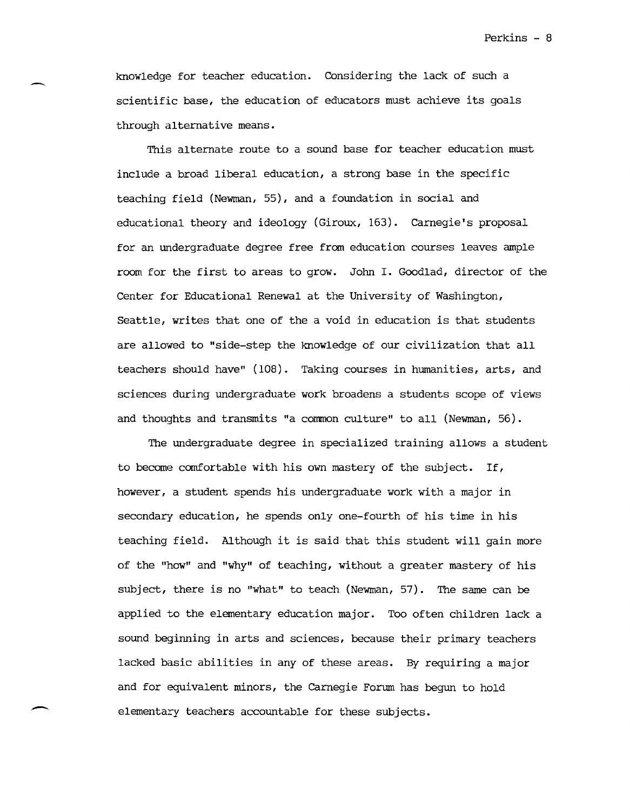knowledge for teacher education. Considering the lack of such a scientific base, the education of educators must achieve its goals through alternative means.

This alternate route to a sound base for teacher education must include a broad liberal education, a strong base in the specific teaching field (Newman, 55), and a foundation in social and educational theory and ideology (Giroux, 163). Carnegie's proposal for an undergraduate degree free from education courses leaves ample room for the first to areas to grow. John I. Goodlad, director of the Center for Educational Renewal at the University of Washington, Seattle, writes that one of the a void in education is that students are allowed to "side-step the knowledge of our civilization that all teachers should have" (l08). Taking courses in humanities, arts, and sciences during undergraduate work broadens a students scope of views and thoughts and transmits "a common culture" to all (Newman, 56).

The undergraduate degree in specialized training allows a student to become comfortable with his own mastery of the subject. If, however, a student spends his undergraduate work with a major in secondary education, he spends only one-fourth of his time in his teaching field. Although it is said that this student will gain more of the "how" and "why" of teaching, without a greater mastery of his subject, there is no "what" to teach (Newman, 57). The same can be applied to the elementary education major. Too often children lack a sound beginning in arts and sciences, because their primary teachers lacked basic abilities in any of these areas. By requiring a major and for equivalent minors, the Carnegie Forum has begun to hold elementary teachers accountable for these subjects.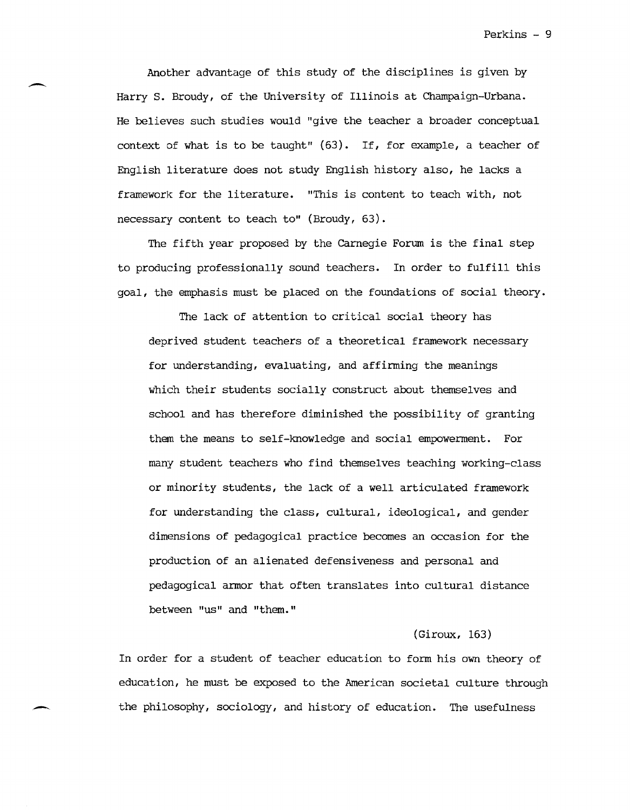Another advantage of this study of the disciplines is given by Harry S. Broudy, of the University of Illinois at Champaign-Urbana. He believes such studies would "give the teacher a broader conceptual context of what is to be taught"  $(63)$ . If, for example, a teacher of English literature does not study English history also, he lacks a framework for the literature. "This is content to teach with, not necessary content to teach to" (Broudy, 63).

.-

-

The fifth year proposed by the carnegie Forum is the final step to producing professionally sound teachers. In order to fulfill this goal, the emphasis must be placed on the foundations of social theory.

The lack of attention to critical social theory has deprived student teachers of a theoretical framework necessary for understanding, evaluating, and affirming the meanings which their students socially construct about themselves and school and has therefore diminished the possibility of granting them the means to self-knowledge and social empowerment. For many student teachers who find themselves teaching working-class or minority students, the lack of a well articulated framework for understanding the class, cultural, ideological, and gender dimensions of pedagogical practice becomes an occasion for the production of an alienated defensiveness and personal and pedagogical armor that often translates into cultural distance between "us" and "them."

## (Giroux, 163)

In order for a student of teacher education to form his own theory of education, he must be exposed to the American societal culture through the philosophy, sociology, and history of education. The usefulness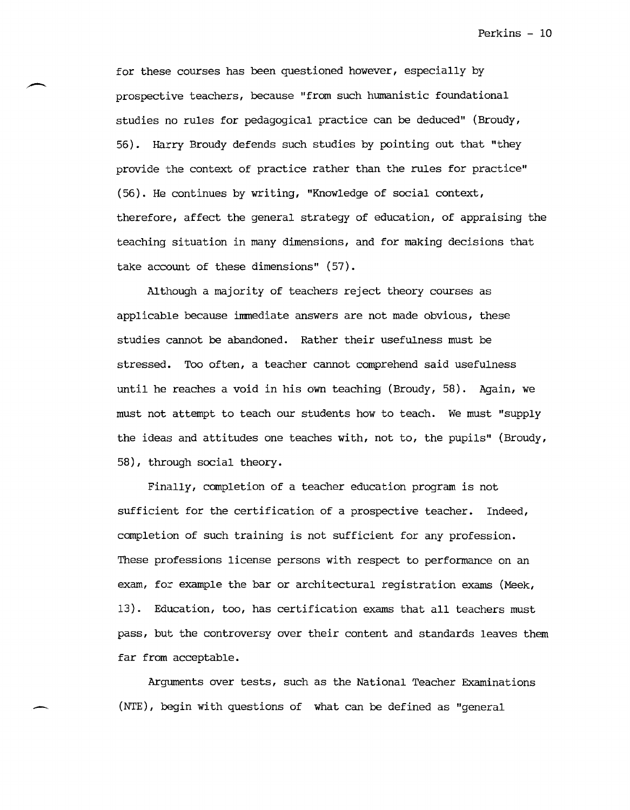for these courses has been questioned however, especially by prospective teachers, because "from such humanistic foundational studies no rules for pedagogical practice can be deduced" (Broudy, 56). Harry Broudy defends such studies by pointing out that "they provide the context of practice rather than the rules for practice" (56). He continues by writing, "Knowledge of social context, therefore, affect the general strategy of education, of appraising the teaching situation in many dimensions, and for making decisions that take account of these dimensions" (57).

Although a majority of teachers reject theory courses as applicable because immediate answers are not made obvious, these studies cannot be abandoned. Rather their usefulness must be stressed. Too often, a teacher cannot comprehend said usefulness until he reaches a void in his own teaching (Broudy, 58). Again, we must not attempt to teach our students how to teach. We must "supply the ideas and attitudes one teaches with, not to, the pupils" (Broudy, 58), through social theory.

Finally, completion of a teacher education program is not sufficient for the certification of a prospective teacher. Indeed, completion of such training is not sUfficient for any profession. These professions license persons with respect to performance on an exam, for example the bar or architectural registration exams (Meek, 13). Education, too, has certification exams that all teachers must pass, but the controversy over their content and standards leaves them far from acceptable.

Arguments over tests, such as the National Teacher Examinations (NTE), begin with questions of what can be defined as "general

-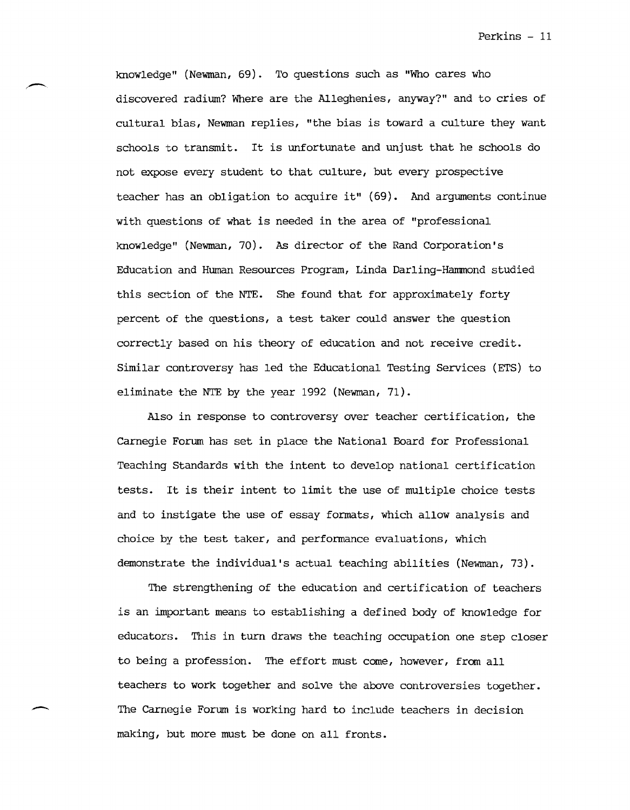knowledge" (Newman, 69). To questions such as "Who cares who discovered radium? Where are the Alleghenies, anyway?" and to cries of cultural bias, Newman replies, "the bias is toward a culture they want schools to transmit. It is unfortunate and unjust that he schools do not expose every student to that culture, but every prospective teacher has an obligation to acquire it" (69). And arguments continue with questions of what is needed in the area of "professional knowledge" (Newman, 70). As director of the Rand Corporation's Education and Human Resources Program, Linda Darling-Hammond studied this section of the NTE. She found that for approximately forty percent of the questions, a test taker could answer the question correctly based on his theory of education and not receive credit. Similar controversy has led the Educational Testing Services (ETS) to eliminate the NTE by the year 1992 (Newman, 71).

Also in response to controversy over teacher certification, the Carnegie Forum has set in place the National Board for Professional Teaching Standards with the intent to develop national certification tests. It is their intent to limit the use of multiple choice tests and to instigate the use of essay formats, which allow analysis and choice by the test taker, and performance evaluations, which demonstrate the individual's actual teaching abilities (Newman, 73).

The strengthening of the education and certification of teachers is an important means to establishing a defined body of knowledge for educators. This in turn draws the teaching occupation one step closer to being a profession. The effort must come, however, from all teachers to work together and solve the above controversies together. The Carnegie Forum is working hard to include teachers in decision making, but more must be done on all fronts.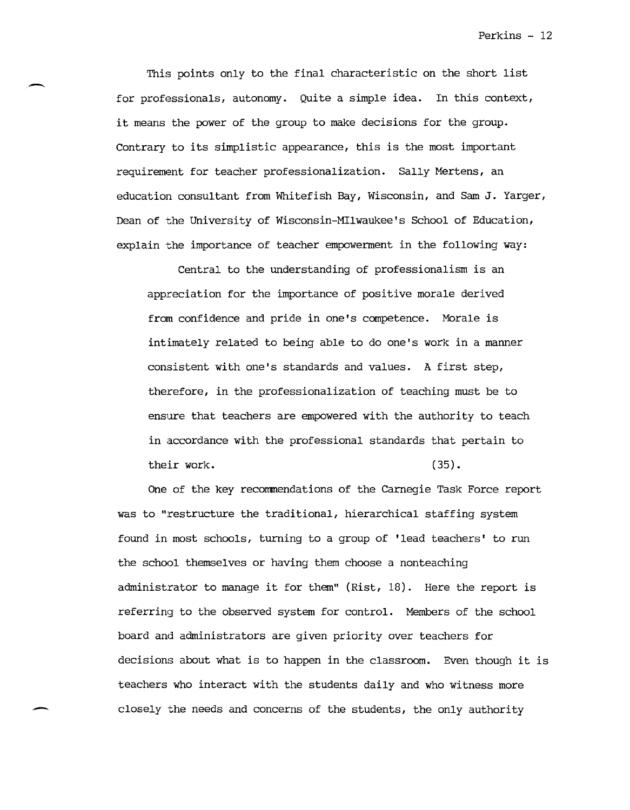This points only to the final characteristic on the short list for professionals, autonomy. Quite a simple idea. In this context, it means the power of the group to make decisions for the group. Contrary to its simplistic appearance, this is the most important requirement for teacher professionalization. Sally Mertens, an education consultant from Whitefish Bay, Wisconsin, and Sam J. Yarger, Dean of the University of Wisconsin-MIlwaukee's School of Education, explain the importance of teacher empowerment in the following way:

 $\overline{\phantom{a}}$ 

Central to the understanding of professionalism is an appreciation for the importance of positive morale derived from confidence and pride in one's competence. Morale is intimately related to being able to do one's work in a manner consistent with one's standards and values. A first step, therefore, in the professionalization of teaching must be to ensure that teachers are empowered with the authority to teach in accordance with the professional standards that pertain to their work. (35).

One of the key recommendations of the Carnegie Task Force report was to "restructure the traditional, hierarchical staffing system found in most schools, turning to a group of 'lead teachers' to run the school themselves or having them choose a nonteaching administrator to manage it for them" (Rist, 18). Here the report is referrin9 to the observed system for control. Members of the school board and administrators are given priority over teachers for decisions about what is to happen in the classroom. Even though it is teachers who interact with the students daily and who witness more closely the needs and concerns of the students, the only authority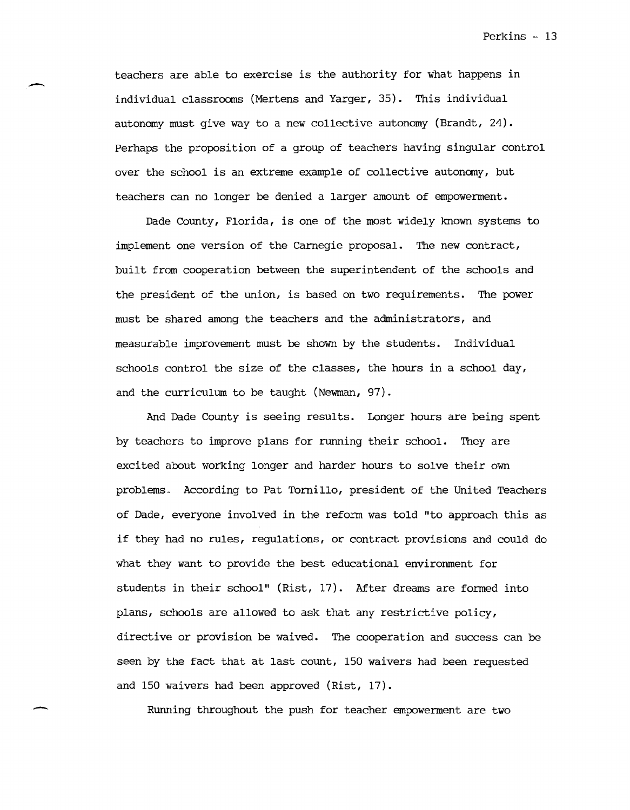teachers are able to exercise is the authority for what happens in individual classrooms (Mertens and Yarger, 35). This individual autonomy must give way to a new collective autonomy (Brandt, 24). Perhaps the proposition of a group of teachers having singular control over the school is an extreme example of collective autonomy, but teachers can no longer be denied a larger amount of empowerment.

Dade County, Florida, is one of the most widely known systems to implement one version of the Carnegie proposal. The new contract, built from cooperation between the superintendent of the schools and the president of the union, is based on two requirements. The power must be shared among the teachers and the administrators, and measurable improvement must be shown by the students. Individual schools control the size of the classes, the hours in a school day, and the curriculum to be taught (Newman, 97).

And Dade County is seeing results. Longer hours are being spent by teachers to improve plans for running their school. They are excited about working longer and harder hours to solve their own problems.. According to Pat Tornillo, president of the United Teachers of Dade, everyone involved in the reform was told "to approach this as if they had no rules, regulations, or contract provisions and could do what they want to provide the best educational environment for students in their school" (Rist, 17). After dreams are formed into plans, schools are allowed to ask that any restrictive policy, directive or provision be waived. The cooperation and success can be seen by the fact that at last count, 150 waivers had been requested and 150 waivers had been approved (Rist, 17).

Running throughout the push for teacher empowerment are two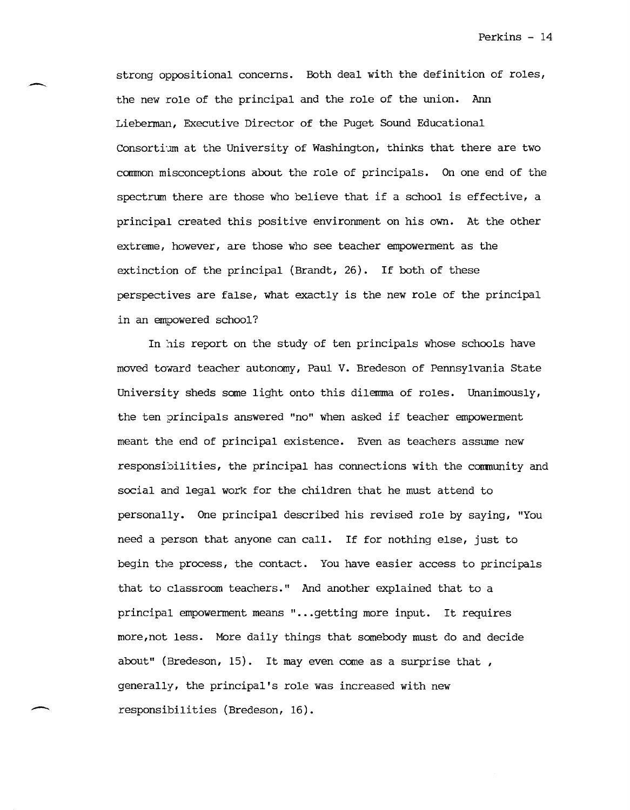strong oppositional concerns. Both deal with the definition of roles, the new role of the principal and the role of the union. Ann Lieberman, Executive Director of the Puget Sound Educational Consortium at the University of Washington, thinks that there are two common misconceptions about the role of principals. On one end of the spectrum there are those who believe that if a school is effective, a principal created this positive environment on his own. At the other extreme, however, are those who see teacher empowerment as the extinction of the principal (Brandt, 26). If both of these perspectives are false, "What exactly is the new role of the principal in an empowered school?

In his report on the study of ten principals whose schools have moved toward teacher autonomy, Paul V. Bredeson of Pennsylvania State University sheds some light onto this dilemma of roles. Unanimously, the ten principals answered "no" when asked if teacher empowerment meant the end of principal existence. Even as teachers assume new responsibilities, the principal has connections with the community and social and legal work for the children that he must attend to personally. One principal described his revised role by saying, "You need a person that anyone can call. If for nothing else, just to begin the process, the contact. You have easier access to principals that to classroom teachers." And another explained that to a principal empowerment means " ..• getting more input. It requires more,not less. More daily things that somebody must do and decide about" (Bredeson, 15). It may even come as a surprise that, generally, the principal's role was increased with new responsibilities (Bredeson, 16).

-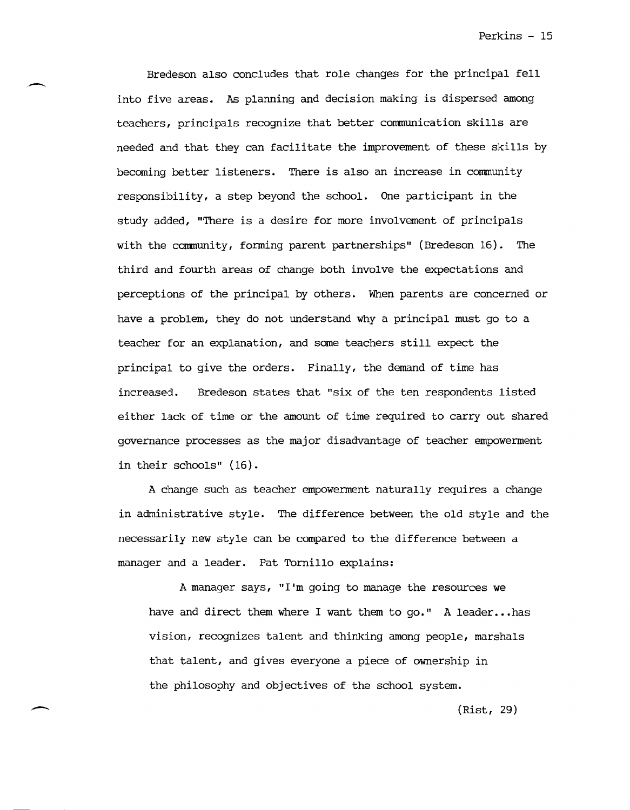Bredeson also concludes that role changes for the principal fell into five areas. As planning and decision making is dispersed among teachers, principals recognize that better communication skills are needed and that they can facilitate the improvement of these skills by becoming better listeners. There is also an increase in community responsibility, a step beyond the school. One participant in the study added, "There is a desire for more involvement of principals with the conmunity, forming parent partnerships" (Bredeson 16). The third and fourth areas of change both involve the expectations and perceptions of the principal by others. When parents are concerned or have a problem, they do not understand why a principal must go to a teacher for an explanation, and some teachers still expect the principal to give the orders. Finally, the demand of time has increased. Bredeson states that "six of the ten respondents listed either lack of time or the amount of time required to carry out shared governance processes as the major disadvantage of teacher empowerment in their schools" (16).

A change such as teacher empowerment naturally requires a change in administrative style. The difference between the old style and the necessarily new style can be compared to the difference between a manager and a leader. Pat Tornillo explains:

A manager says, **"11m** going to manage the resources we have and direct them where I want them to go." A leader... has vision, recognizes talent and thinking among people, marshals that talent, and gives everyone a piece of ownership in the philosophy and objectives of the school system.

(Rist, 29)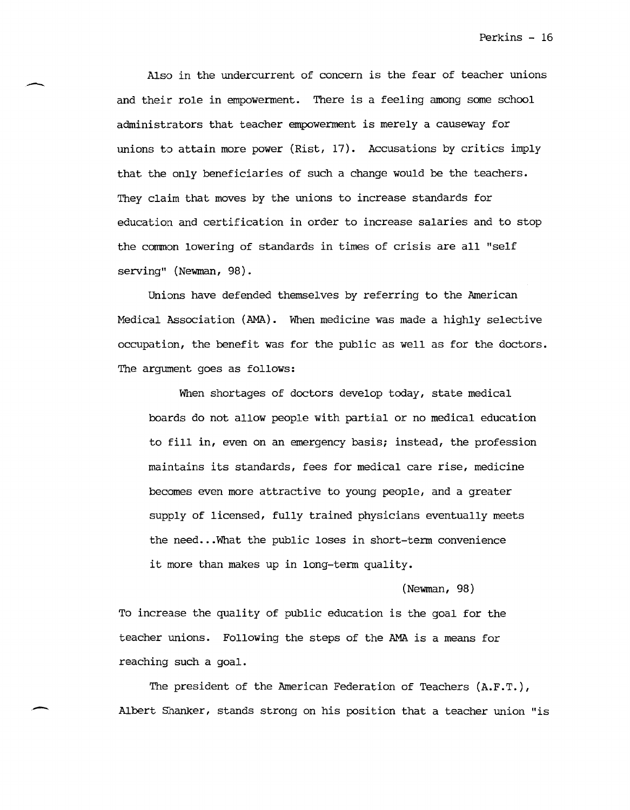Also in the undercurrent of concern is the fear of teacher unions and their role in empowerment. There is a feeling among some school administrators that teacher empowerment is merely a causeway for unions to attain more power (Rist, 17). Accusations by critics imply that the only beneficiaries of such a change would be the teachers. They claim that moves by the unions to increase standards for education and certification in order to increase salaries and to stop the common lowering of standards in times of crisis are all "self serving" (Newman, 98).

-

Unions have defended themselves by referring to the American Medical Association (AMA). When medicine was made a highly selective occupation, the benefit was for the public as well as for the doctors. The argument goes as follows:

When shortages of doctors develop today, state medical boards do not allow people with partial or no medical education to fill in, even on an emergency basis; instead, the profession maintains its standards, fees for medical care rise, medicine becomes even more attractive to young people, and a greater supply of licensed, fully trained physicians eventually meets the need... What the public loses in short-term convenience it more than makes up in long-term quality.

## (Newman, 98)

To increase the quality of public education is the goal for the teacher unions. Following the steps of the AMA is a means for reaching such a goal.

The president of the American Federation of Teachers (A.F.T.), Albert Shanker, stands strong on his position that a teacher union "is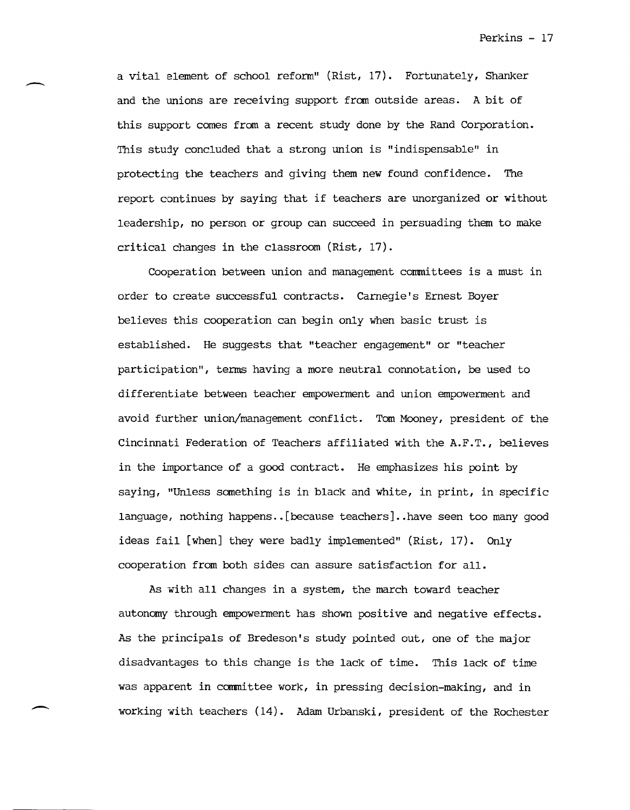a vital element of school refonn" (Rist, 17). Fortunately, Shanker and the unions are receiving support from outside areas. A bit of this support comes from a recent study done by the Rand Corporation. This study concluded that a strong union is "indispensable" in protecting the teachers and giving them new found confidence. The report continues by saying that if teachers are unorganized or without leadership, no person or group can succeed in persuading them to make critical changes in the classroom (Rist, 17).

-

Cooperation between union and management committees is a must in order to create successful contracts. Carnegie's Ernest Boyer believes this cooperation can begin only when basic trust is established. He suggests that "teacher engagement" or "teacher participation", terms having a more neutral connotation, be used to differentiate between teacher empowennent and union empowennent and avoid further union/management conflict. Tom Mooney, president of the Cincinnati Federation of Teachers affiliated with the A.F.T., believes in the importance of a good contract. He emphasizes his point by saying, "Unless something is in black and white, in print, in specific language, nothing happens .• [because teachers] .. have seen too many good ideas fail [When] they were badly implemented" (Rist, 17). Only cooperation from both sides can assure satisfaction for all.

As with all changes in a system, the march toward teacher autonomy through empowennent has shown positive and negative effects. As the principals of Bredeson's study pointed out, one of the major disadvantages to this change is the lack of time. This lack of time was apparent in committee work, in pressing decision-making, and in working 'with teachers (14). Adam Urbanski, president of the Rochester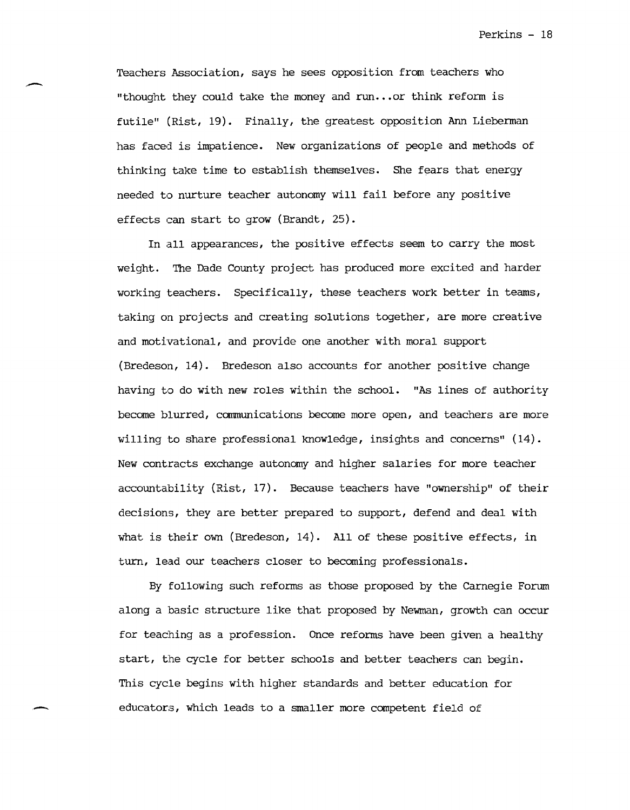Teachers Association, says he sees opposition from teachers who "thought they could take the money and  $run...$  or think reform is futile" (Rist, 19). Finally, the greatest opposition Ann Lieberman has faced is impatience. New organizations of people and methods of thinking take time to establish themselves. She fears that energy needed to nurture teacher autonomy will fail before any positive effects can start to grow (Brandt, 25).

-

-

In all appearances, the positive effects seem to carry the most weight. The Dade County project has produced more excited and harder working teachers. Specifically, these teachers work better in teams, taking on projects and creating solutions together, are more creative and motivational, and provide one another with moral support (Bredeson, 14). Bredeson also accounts for another positive change having to do with new roles within the school. "As lines of authority become blurred, communications become more open, and teachers are more willing to share professional knowledge, insights and concerns" (14). New contracts exchange autonomy and higher salaries for more teacher accountability (Rist, 17). Because teachers have "ownership" of their decisions, they are better prepared to support, defend and deal with what is their own (Bredeson, 14). All of these positive effects, in turn, lead our teachers closer to becoming professionals.

By following such reforms as those proposed by the Carnegie Forum along a basic structure like that proposed by Newman, growth can occur for teaching as a profession. Once reforms have been given a healthy start, the cycle for better schools and better teachers can begin. This cycle begins with higher standards and better education for educators, which leads to a smaller more competent field of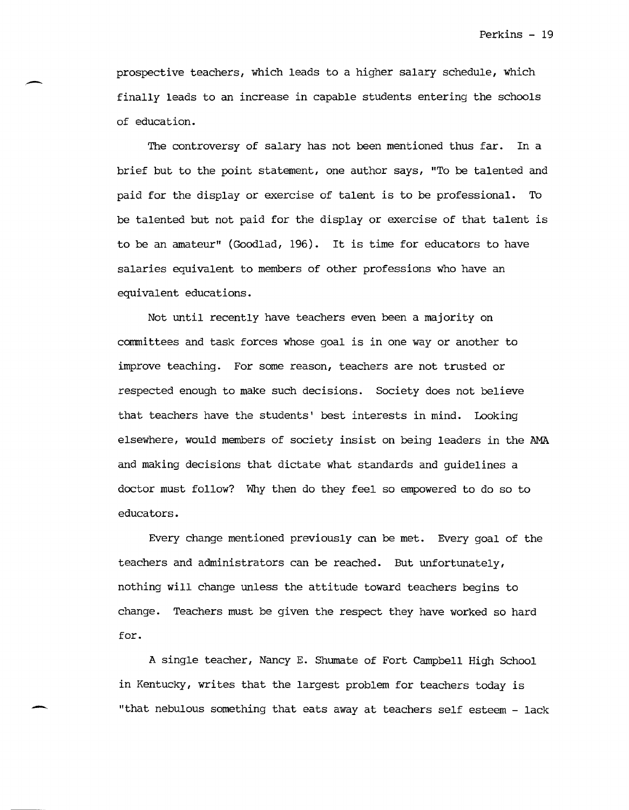prospective teachers, which leads to a higher salary schedule, which finally leads to an increase in capable students entering the schools of education.

 $\overline{\phantom{a}}$ 

-,

The controversy of salary has not been mentioned thus far. In a brief but to the point statement, one author says, "To be talented and paid for the display or exercise of talent is to be professional. To be talented but not paid for the display or exercise of that talent is to be an amateur" (Goodlad, 196). It is time for educators to have salaries equivalent to members of other professions who have an equivalent educations.

Not until recently have teachers even been a majority on committees and task forces whose goal is in one way or another to improve teaching. For some reason, teachers are not trusted or respected enough to make such decisions. Society does not believe that teachers have the students' best interests in mind. Looking elsewhere, would members of society insist on being leaders in the ANA and making decisions that dictate what standards and guidelines a doctor must follow? Why then do they feel so empowered to do so to educators.

Every change mentioned previously can be met. Every goal of the teachers and administrators can be reached. But unfortunately, nothing will change unless the attitude toward teachers begins to change. Teachers must be given the respect they have worked so hard for.

A single teacher, Nancy E. Shumate of Fort Campbell High School in Kentucky, writes that the largest problem for teachers today is "that nebulous something that eats away at teachers self esteem - lack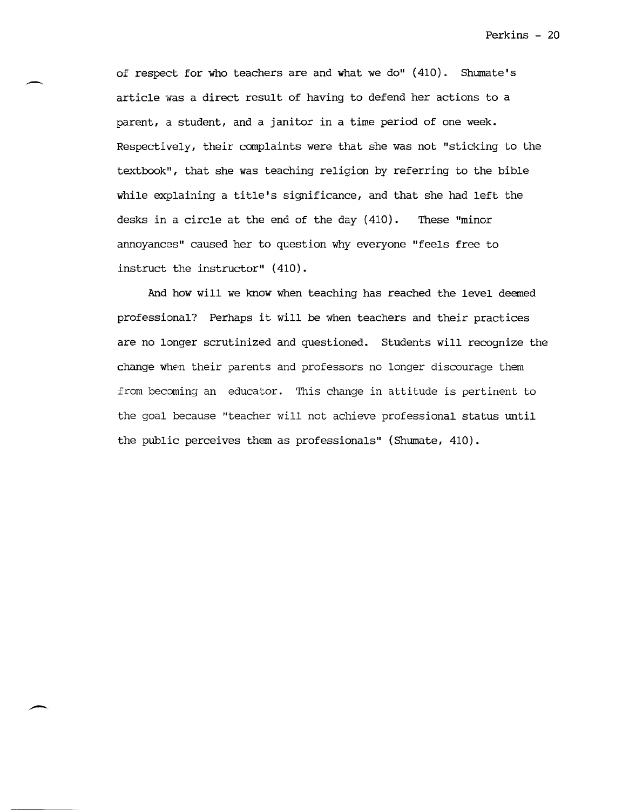of respect for who teachers are and what we do" (410). Shumate's article was a direct result of having to defend her actions to a parent, a student, and a janitor in a time period of one week. Respectively, their complaints were that she was not "sticking to the textbook", that she was teaching religion by referring to the bible while explaining a title's significance, and that she had left the desks in a circle at the end of the day (410). These "minor annoyances" caused her to question why everyone "feels free to instruct the instructor" (410).

-

And how will we know when teaching has reached the level deemed professional? Perhaps it will be when teachers and their practices are no longer scrutinized and questioned. Students will recognize the change when their parents and professors no longer discourage them from becoming an educator. This change in attitude is pertinent to the goal because "teacher will not achieve professional status until the public perceives them as professionals" (Shumate, 410).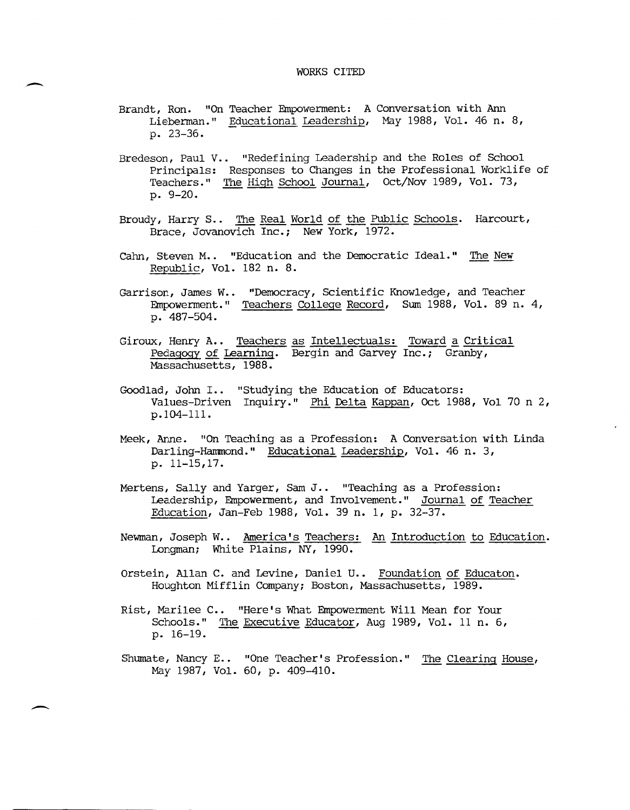## WORKS CITED

Brandt, Ron. "On Teacher Empowerment: A Conversation with Ann Lieberman." Educational Leadership, May 1988, Vol. 46 n. 8, p. 23-36.

.-

--

- Bredeson, Paul V.. "Redefining Leadership and the Roles of School Principals: Responses to Changes in the Professional Worklife of Teachers." The High School Journal, Oct/Nov 1989, Vol. 73, p. 9-20.
- Broudy, Harry S.. The Real World of the Public Schools. Harcourt, Brace, Jovanovich Inc.; New York, 1972.
- Cahn, Steven M.. "Education and the Democratic Ideal." The New Republic, Vol. 182 n. 8.
- Garrison, James W.. "Democracy, Scientific Knowledge, and Teacher Empowerment." Teachers College Record, Sum 1988, Vol. 89 n. 4, p. 487-504.
- Giroux, Henry A.. Teachers as Intellectuals: Toward a Critical Pedagogy of Learning. Bergin and Garvey Inc.; Granby, Massachusetts, 1988.
- Goodlad, John I.. "Studying the Education of Educators: Values-Driven Inquiry." <u>Phi Delta Kappan</u>, Oct 1988, Vol 70 n 2, p.104-111.
- Meek, Anne. "On Teaching as a Profession: A Conversation with Linda Darling-Hammond." Educational Leadership, Vol. 46 n. 3, p. 11-15,17.
- Mertens, Sally and Yarger, Sam J.. "Teaching as a Profession: Leadership, Empowerment, and Involvement." Journal of Teacher Education, Jan-Feb 1988, Vol. 39 n. 1, p. 32-37.
- Newman, Joseph W.. America's Teachers: An Introduction to Education. Longman; White Plains, NY, 1990.
- Orstein, Allan C. and Levine, Daniel U.. Foundation of Educaton. Houghton Mifflin Company; Boston, Massachusetts, 1989.
- Rist, Marilee C.. "Here's What Empowerment Will Mean for Your Schools." The Executive Educator, Aug 1989, Vol. 11 n. 6, p. 16-19.
- Shumate, Nancy E.. "One Teacher's Profession." The Clearing House, May 1987, Vol. 60, p. 409-410.